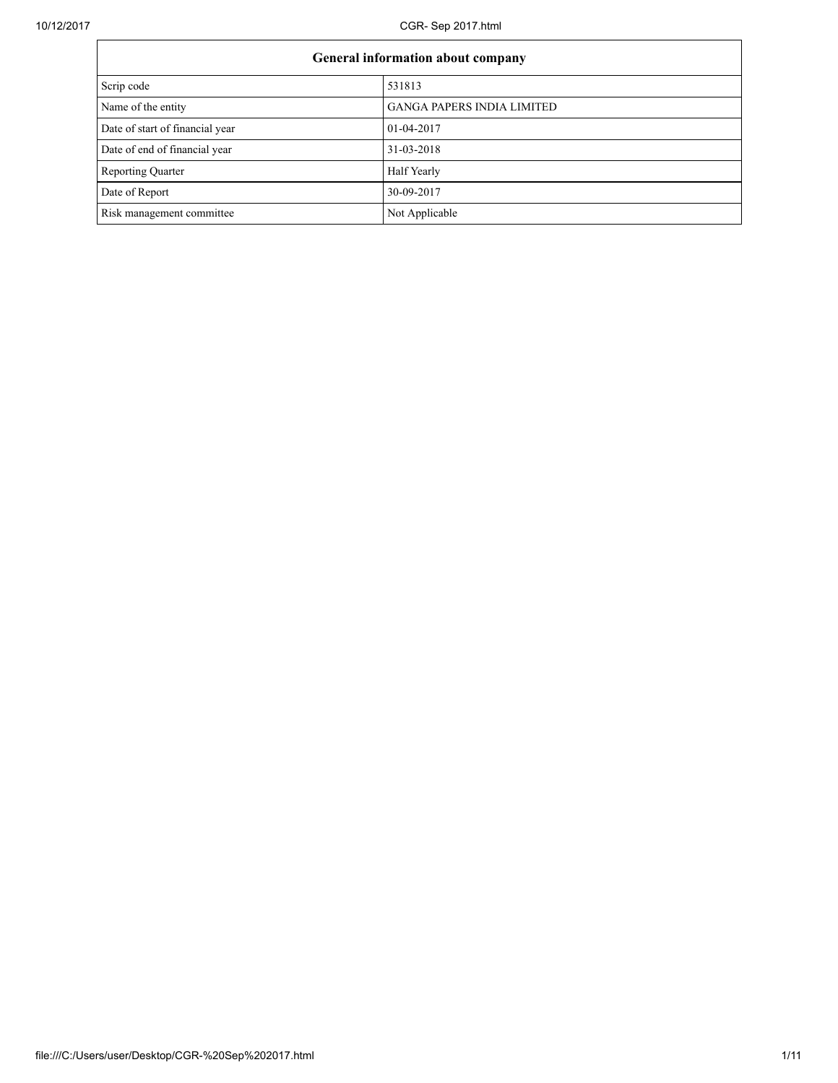**F** 

10/12/2017 CGR- Sep 2017.html

| <b>General information about company</b> |                                   |  |  |
|------------------------------------------|-----------------------------------|--|--|
| Scrip code                               | 531813                            |  |  |
| Name of the entity                       | <b>GANGA PAPERS INDIA LIMITED</b> |  |  |
| Date of start of financial year          | 01-04-2017                        |  |  |
| Date of end of financial year            | 31-03-2018                        |  |  |
| <b>Reporting Quarter</b>                 | Half Yearly                       |  |  |
| Date of Report                           | 30-09-2017                        |  |  |
| Risk management committee                | Not Applicable                    |  |  |

٦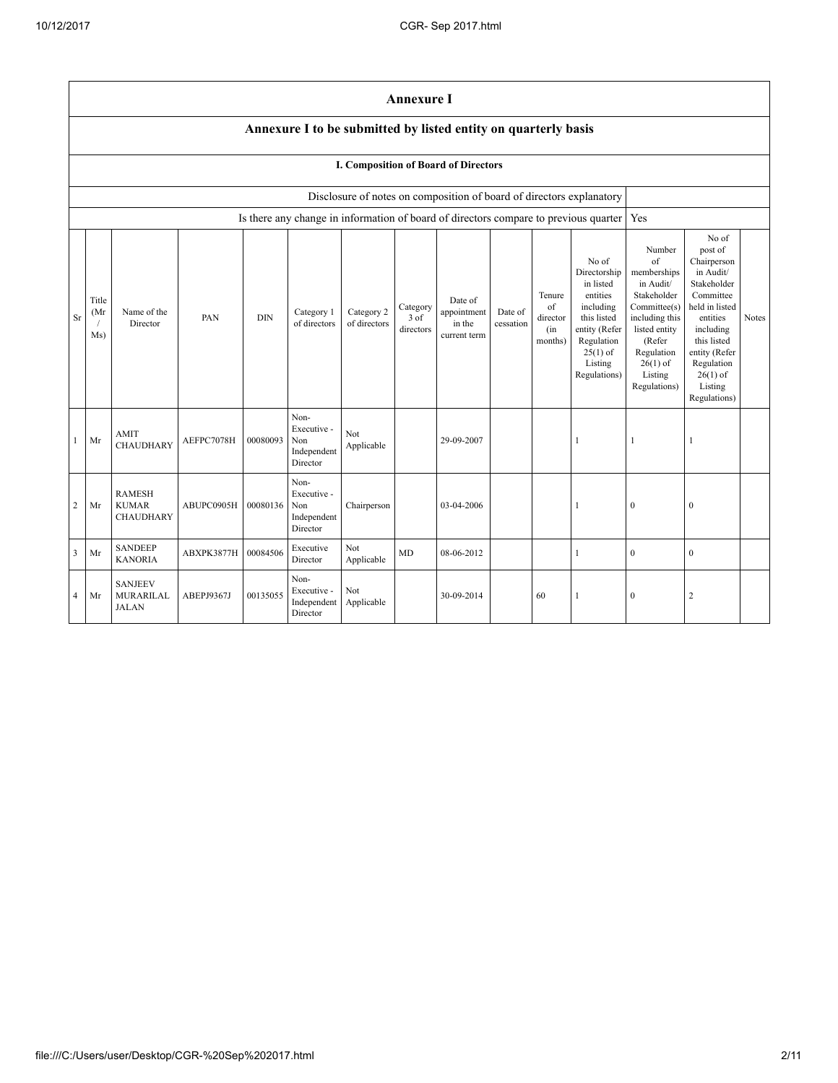|                         | <b>Annexure I</b>                                              |                                                   |            |            |                                                       |                            |                               |                                                  |                      |                                            |                                                                                                                                                    |                                                                                                                                                                             |                                                                                                                                                                                                            |              |
|-------------------------|----------------------------------------------------------------|---------------------------------------------------|------------|------------|-------------------------------------------------------|----------------------------|-------------------------------|--------------------------------------------------|----------------------|--------------------------------------------|----------------------------------------------------------------------------------------------------------------------------------------------------|-----------------------------------------------------------------------------------------------------------------------------------------------------------------------------|------------------------------------------------------------------------------------------------------------------------------------------------------------------------------------------------------------|--------------|
|                         | Annexure I to be submitted by listed entity on quarterly basis |                                                   |            |            |                                                       |                            |                               |                                                  |                      |                                            |                                                                                                                                                    |                                                                                                                                                                             |                                                                                                                                                                                                            |              |
|                         |                                                                |                                                   |            |            |                                                       |                            |                               | I. Composition of Board of Directors             |                      |                                            |                                                                                                                                                    |                                                                                                                                                                             |                                                                                                                                                                                                            |              |
|                         |                                                                |                                                   |            |            |                                                       |                            |                               |                                                  |                      |                                            | Disclosure of notes on composition of board of directors explanatory                                                                               |                                                                                                                                                                             |                                                                                                                                                                                                            |              |
|                         |                                                                |                                                   |            |            |                                                       |                            |                               |                                                  |                      |                                            | Is there any change in information of board of directors compare to previous quarter                                                               | Yes                                                                                                                                                                         |                                                                                                                                                                                                            |              |
| Sr                      | Title<br>(Mr<br>Ms)                                            | Name of the<br>Director                           | PAN        | <b>DIN</b> | Category 1<br>of directors                            | Category 2<br>of directors | Category<br>3 of<br>directors | Date of<br>appointment<br>in the<br>current term | Date of<br>cessation | Tenure<br>of<br>director<br>(in<br>months) | No of<br>Directorship<br>in listed<br>entities<br>including<br>this listed<br>entity (Refer<br>Regulation<br>$25(1)$ of<br>Listing<br>Regulations) | Number<br>of<br>memberships<br>in Audit/<br>Stakeholder<br>Committee(s)<br>including this<br>listed entity<br>(Refer<br>Regulation<br>$26(1)$ of<br>Listing<br>Regulations) | No of<br>post of<br>Chairperson<br>in Audit/<br>Stakeholder<br>Committee<br>held in listed<br>entities<br>including<br>this listed<br>entity (Refer<br>Regulation<br>$26(1)$ of<br>Listing<br>Regulations) | <b>Notes</b> |
| $\mathbf{1}$            | Mr                                                             | <b>AMIT</b><br>CHAUDHARY                          | AEFPC7078H | 00080093   | Non-<br>Executive -<br>Non<br>Independent<br>Director | Not<br>Applicable          |                               | 29-09-2007                                       |                      |                                            | 1                                                                                                                                                  | 1                                                                                                                                                                           | 1                                                                                                                                                                                                          |              |
| $\overline{2}$          | Mr                                                             | <b>RAMESH</b><br><b>KUMAR</b><br><b>CHAUDHARY</b> | ABUPC0905H | 00080136   | Non-<br>Executive -<br>Non<br>Independent<br>Director | Chairperson                |                               | 03-04-2006                                       |                      |                                            | 1                                                                                                                                                  | $\Omega$                                                                                                                                                                    | $\mathbf{0}$                                                                                                                                                                                               |              |
| $\overline{\mathbf{3}}$ | Mr                                                             | <b>SANDEEP</b><br><b>KANORIA</b>                  | ABXPK3877H | 00084506   | Executive<br>Director                                 | Not<br>Applicable          | <b>MD</b>                     | 08-06-2012                                       |                      |                                            | 1                                                                                                                                                  | $\mathbf{0}$                                                                                                                                                                | $\mathbf{0}$                                                                                                                                                                                               |              |
| $\overline{4}$          | Mr                                                             | <b>SANJEEV</b><br>MURARILAL<br><b>JALAN</b>       | ABEPJ9367J | 00135055   | Non-<br>Executive -<br>Independent<br>Director        | Not<br>Applicable          |                               | 30-09-2014                                       |                      | 60                                         | 1                                                                                                                                                  | $\mathbf{0}$                                                                                                                                                                | $\overline{c}$                                                                                                                                                                                             |              |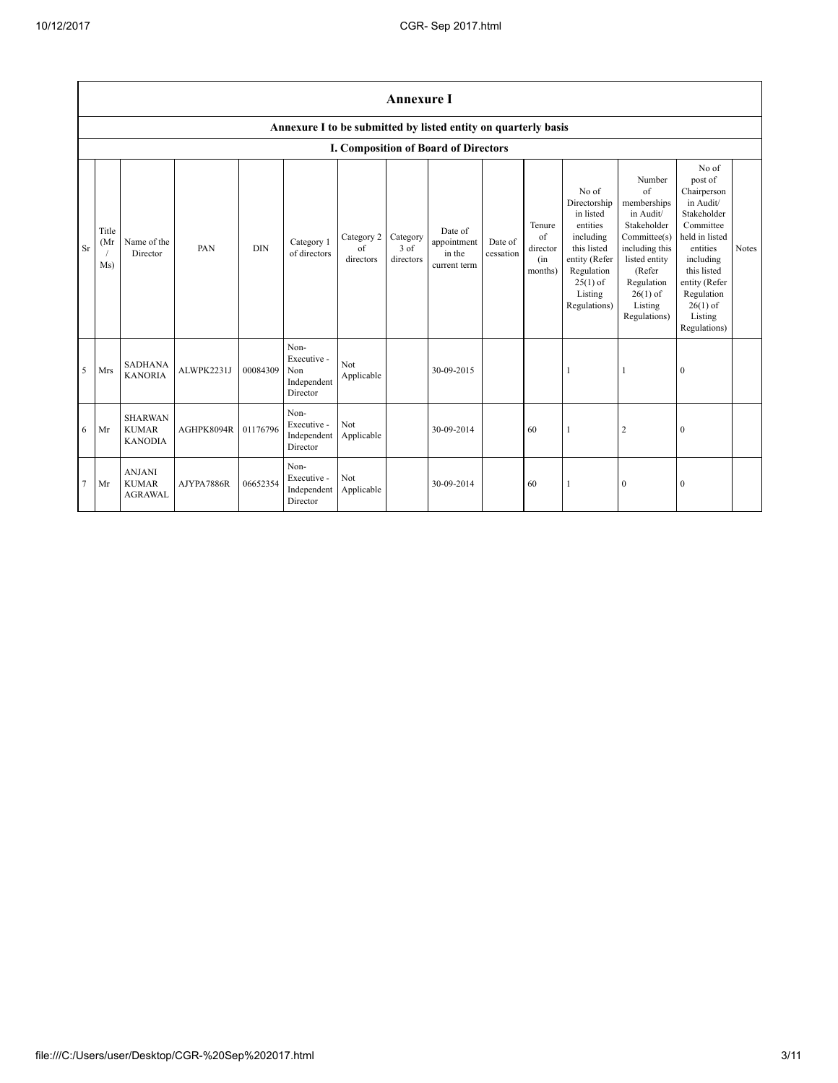|                | <b>Annexure I</b>    |                                                  |            |            |                                                       |                               |                               |                                                                |                      |                                            |                                                                                                                                                    |                                                                                                                                                                                     |                                                                                                                                                                                                            |              |
|----------------|----------------------|--------------------------------------------------|------------|------------|-------------------------------------------------------|-------------------------------|-------------------------------|----------------------------------------------------------------|----------------------|--------------------------------------------|----------------------------------------------------------------------------------------------------------------------------------------------------|-------------------------------------------------------------------------------------------------------------------------------------------------------------------------------------|------------------------------------------------------------------------------------------------------------------------------------------------------------------------------------------------------------|--------------|
|                |                      |                                                  |            |            |                                                       |                               |                               | Annexure I to be submitted by listed entity on quarterly basis |                      |                                            |                                                                                                                                                    |                                                                                                                                                                                     |                                                                                                                                                                                                            |              |
|                |                      |                                                  |            |            |                                                       |                               |                               | I. Composition of Board of Directors                           |                      |                                            |                                                                                                                                                    |                                                                                                                                                                                     |                                                                                                                                                                                                            |              |
| <b>Sr</b>      | Title<br>(Mr)<br>Ms) | Name of the<br>Director                          | PAN        | <b>DIN</b> | Category 1<br>of directors                            | Category 2<br>of<br>directors | Category<br>3 of<br>directors | Date of<br>appointment<br>in the<br>current term               | Date of<br>cessation | Tenure<br>of<br>director<br>(in<br>months) | No of<br>Directorship<br>in listed<br>entities<br>including<br>this listed<br>entity (Refer<br>Regulation<br>$25(1)$ of<br>Listing<br>Regulations) | Number<br>$\sigma$ f<br>memberships<br>in Audit/<br>Stakeholder<br>Committee(s)<br>including this<br>listed entity<br>(Refer<br>Regulation<br>$26(1)$ of<br>Listing<br>Regulations) | No of<br>post of<br>Chairperson<br>in Audit/<br>Stakeholder<br>Committee<br>held in listed<br>entities<br>including<br>this listed<br>entity (Refer<br>Regulation<br>$26(1)$ of<br>Listing<br>Regulations) | <b>Notes</b> |
| 5              | Mrs                  | <b>SADHANA</b><br><b>KANORIA</b>                 | ALWPK2231J | 00084309   | Non-<br>Executive -<br>Non<br>Independent<br>Director | Not<br>Applicable             |                               | 30-09-2015                                                     |                      |                                            |                                                                                                                                                    |                                                                                                                                                                                     | $\mathbf{0}$                                                                                                                                                                                               |              |
| 6              | Mr                   | <b>SHARWAN</b><br><b>KUMAR</b><br><b>KANODIA</b> | AGHPK8094R | 01176796   | Non-<br>Executive -<br>Independent<br>Director        | Not<br>Applicable             |                               | 30-09-2014                                                     |                      | 60                                         | 1                                                                                                                                                  | $\overline{c}$                                                                                                                                                                      | $\mathbf{0}$                                                                                                                                                                                               |              |
| $\overline{7}$ | Mr                   | <b>ANJANI</b><br><b>KUMAR</b><br><b>AGRAWAL</b>  | AJYPA7886R | 06652354   | Non-<br>Executive -<br>Independent<br>Director        | Not<br>Applicable             |                               | 30-09-2014                                                     |                      | 60                                         | 1                                                                                                                                                  | $\bf{0}$                                                                                                                                                                            | $\boldsymbol{0}$                                                                                                                                                                                           |              |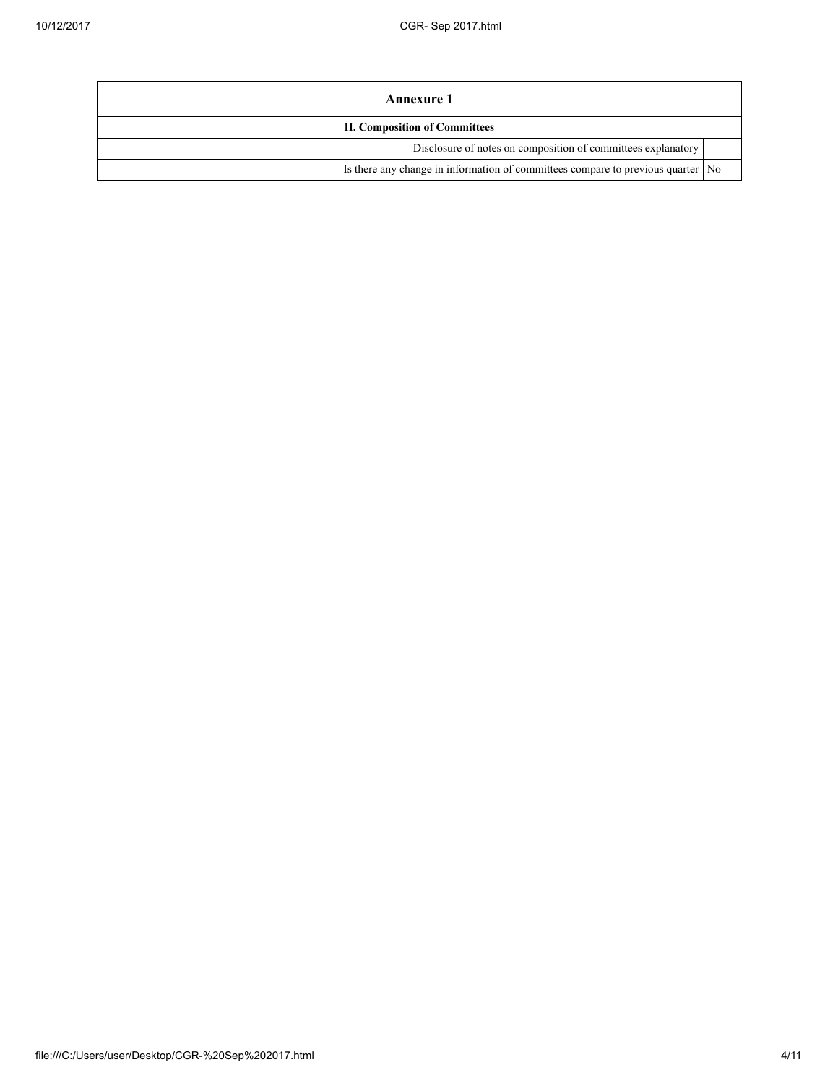| <b>Annexure 1</b>                                                                 |  |  |  |  |  |
|-----------------------------------------------------------------------------------|--|--|--|--|--|
| <b>II. Composition of Committees</b>                                              |  |  |  |  |  |
| Disclosure of notes on composition of committees explanatory                      |  |  |  |  |  |
| Is there any change in information of committees compare to previous quarter   No |  |  |  |  |  |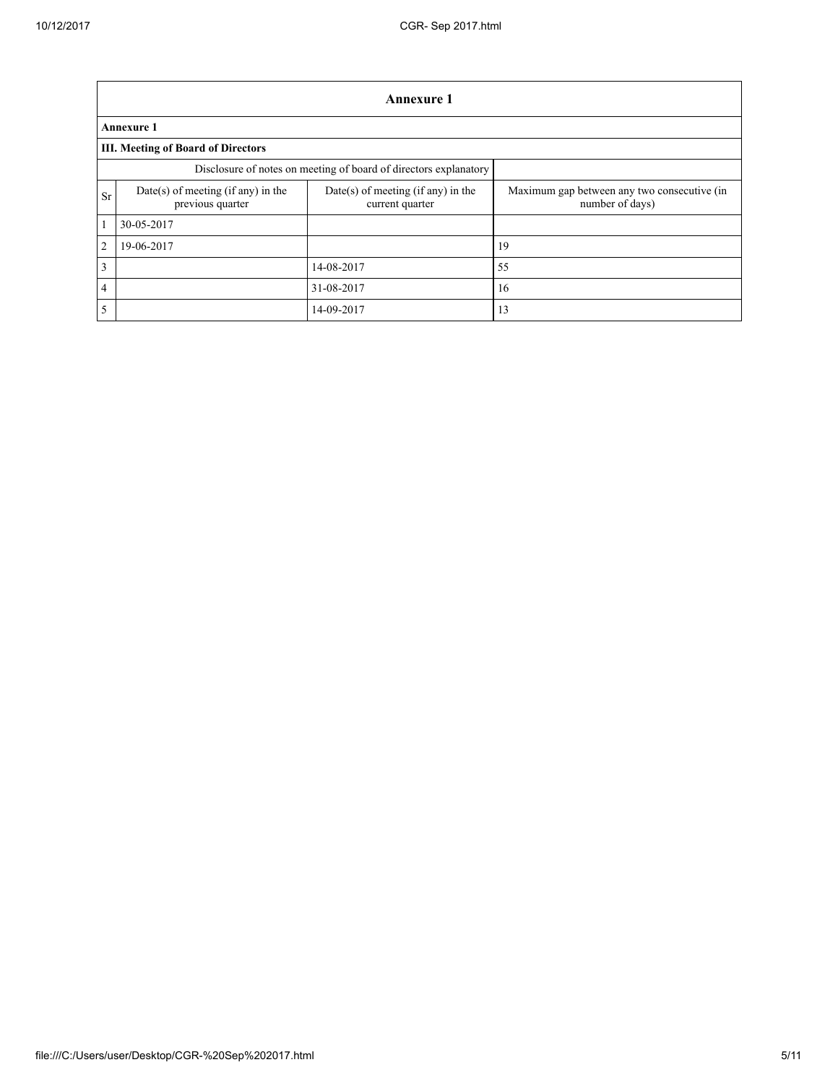|                         | <b>Annexure 1</b>                                                |                                                         |                                                                |  |  |  |  |  |
|-------------------------|------------------------------------------------------------------|---------------------------------------------------------|----------------------------------------------------------------|--|--|--|--|--|
|                         | <b>Annexure 1</b>                                                |                                                         |                                                                |  |  |  |  |  |
|                         | <b>III. Meeting of Board of Directors</b>                        |                                                         |                                                                |  |  |  |  |  |
|                         | Disclosure of notes on meeting of board of directors explanatory |                                                         |                                                                |  |  |  |  |  |
| <b>Sr</b>               | Date(s) of meeting (if any) in the<br>previous quarter           | $Date(s)$ of meeting (if any) in the<br>current quarter | Maximum gap between any two consecutive (in<br>number of days) |  |  |  |  |  |
| $\overline{1}$          | 30-05-2017                                                       |                                                         |                                                                |  |  |  |  |  |
| 2                       | 19-06-2017                                                       |                                                         | 19                                                             |  |  |  |  |  |
| $\overline{\mathbf{3}}$ |                                                                  | 14-08-2017                                              | 55                                                             |  |  |  |  |  |
| $\overline{4}$          |                                                                  | 31-08-2017                                              | 16                                                             |  |  |  |  |  |
| $5\overline{5}$         |                                                                  | 14-09-2017                                              | 13                                                             |  |  |  |  |  |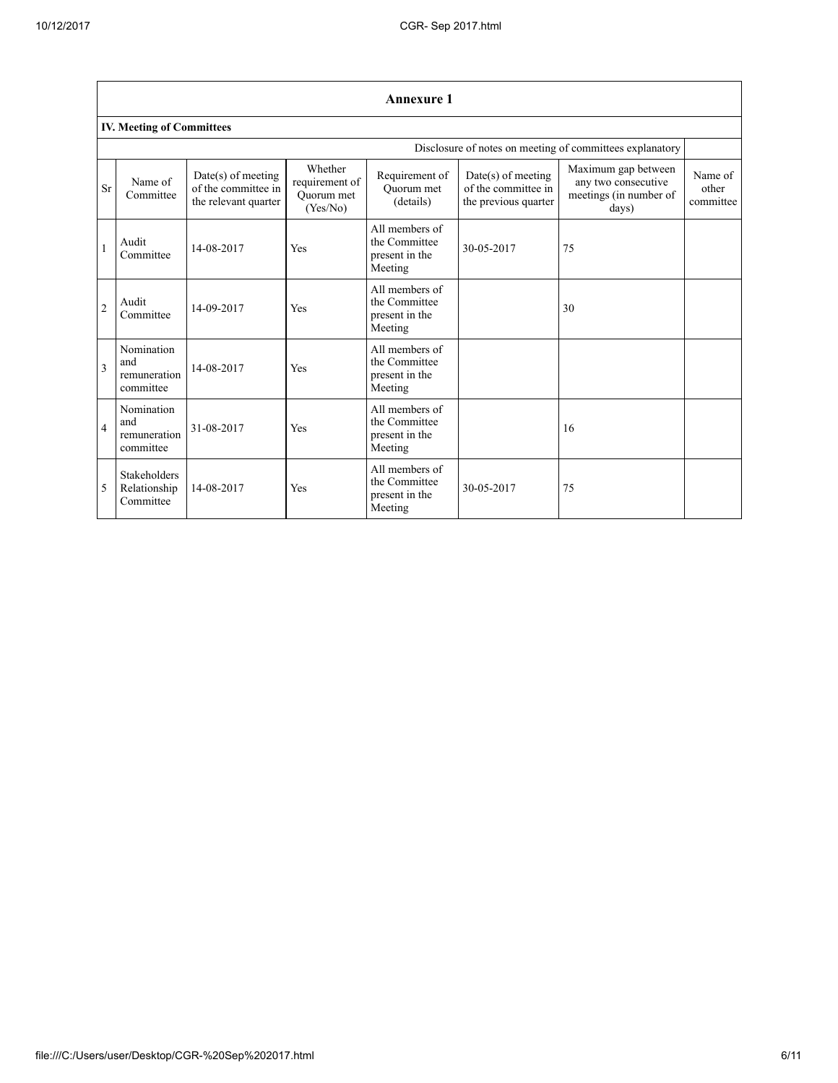|                                                          | <b>Annexure 1</b>                                |                                                                   |                                                     |                                                              |                                                                     |                                                                               |                               |  |  |
|----------------------------------------------------------|--------------------------------------------------|-------------------------------------------------------------------|-----------------------------------------------------|--------------------------------------------------------------|---------------------------------------------------------------------|-------------------------------------------------------------------------------|-------------------------------|--|--|
|                                                          | <b>IV. Meeting of Committees</b>                 |                                                                   |                                                     |                                                              |                                                                     |                                                                               |                               |  |  |
| Disclosure of notes on meeting of committees explanatory |                                                  |                                                                   |                                                     |                                                              |                                                                     |                                                                               |                               |  |  |
| <b>Sr</b>                                                | Name of<br>Committee                             | Date(s) of meeting<br>of the committee in<br>the relevant quarter | Whether<br>requirement of<br>Ouorum met<br>(Yes/No) | Requirement of<br>Ouorum met<br>(details)                    | $Date(s)$ of meeting<br>of the committee in<br>the previous quarter | Maximum gap between<br>any two consecutive<br>meetings (in number of<br>days) | Name of<br>other<br>committee |  |  |
| $\mathbf{1}$                                             | Audit<br>Committee                               | 14-08-2017                                                        | Yes                                                 | All members of<br>the Committee<br>present in the<br>Meeting | 30-05-2017                                                          | 75                                                                            |                               |  |  |
| $\overline{2}$                                           | Audit<br>Committee                               | 14-09-2017                                                        | Yes                                                 | All members of<br>the Committee<br>present in the<br>Meeting |                                                                     | 30                                                                            |                               |  |  |
| $\overline{3}$                                           | Nomination<br>and<br>remuneration<br>committee   | 14-08-2017                                                        | Yes                                                 | All members of<br>the Committee<br>present in the<br>Meeting |                                                                     |                                                                               |                               |  |  |
| $\overline{4}$                                           | Nomination<br>and<br>remuneration<br>committee   | 31-08-2017                                                        | Yes                                                 | All members of<br>the Committee<br>present in the<br>Meeting |                                                                     | 16                                                                            |                               |  |  |
| 5                                                        | <b>Stakeholders</b><br>Relationship<br>Committee | 14-08-2017                                                        | Yes                                                 | All members of<br>the Committee<br>present in the<br>Meeting | 30-05-2017                                                          | 75                                                                            |                               |  |  |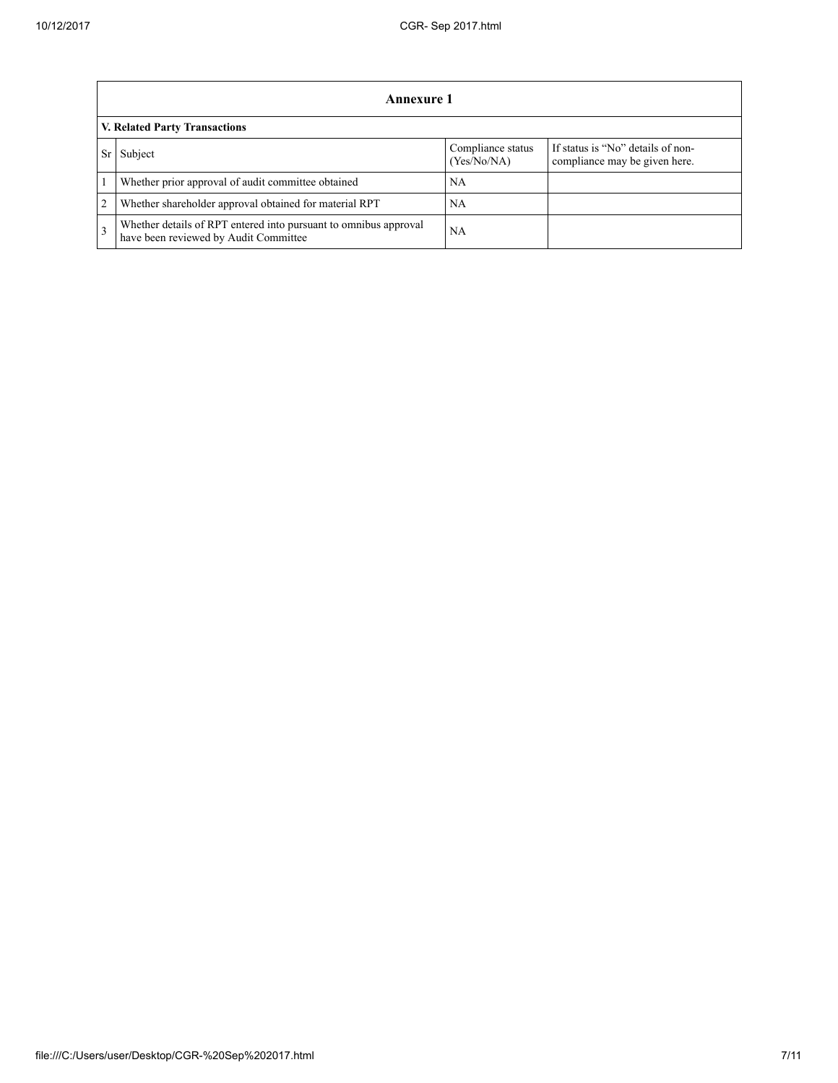|                | Annexure 1                                                                                                |                                  |                                                                    |  |  |  |  |  |
|----------------|-----------------------------------------------------------------------------------------------------------|----------------------------------|--------------------------------------------------------------------|--|--|--|--|--|
|                | V. Related Party Transactions                                                                             |                                  |                                                                    |  |  |  |  |  |
|                | Subject                                                                                                   | Compliance status<br>(Yes/No/NA) | If status is "No" details of non-<br>compliance may be given here. |  |  |  |  |  |
|                | Whether prior approval of audit committee obtained                                                        | NA.                              |                                                                    |  |  |  |  |  |
| $\overline{2}$ | Whether shareholder approval obtained for material RPT                                                    | NA                               |                                                                    |  |  |  |  |  |
| $\mathcal{R}$  | Whether details of RPT entered into pursuant to omnibus approval<br>have been reviewed by Audit Committee | NΑ                               |                                                                    |  |  |  |  |  |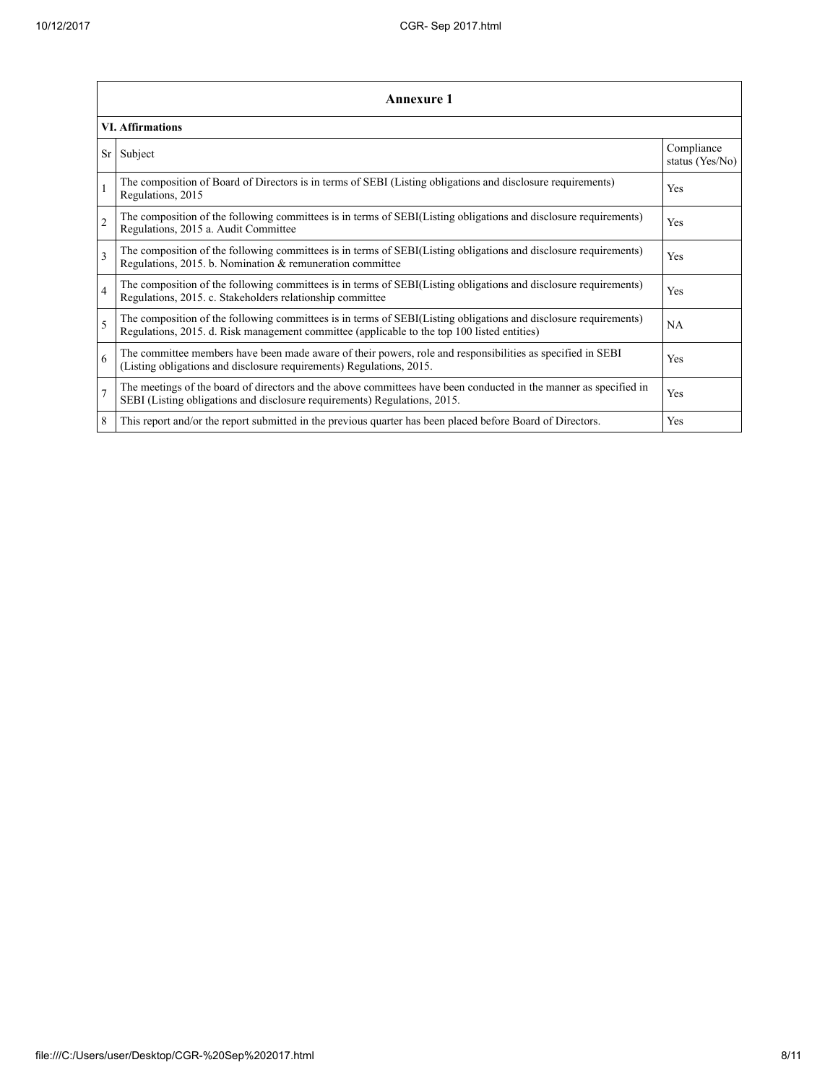|                | <b>Annexure 1</b>                                                                                                                                                                                               |                               |  |  |  |
|----------------|-----------------------------------------------------------------------------------------------------------------------------------------------------------------------------------------------------------------|-------------------------------|--|--|--|
|                | <b>VI.</b> Affirmations                                                                                                                                                                                         |                               |  |  |  |
| Sr             | Subject                                                                                                                                                                                                         | Compliance<br>status (Yes/No) |  |  |  |
|                | The composition of Board of Directors is in terms of SEBI (Listing obligations and disclosure requirements)<br>Regulations, 2015                                                                                | Yes                           |  |  |  |
| $\overline{2}$ | The composition of the following committees is in terms of SEBI(Listing obligations and disclosure requirements)<br>Regulations, 2015 a. Audit Committee                                                        | Yes                           |  |  |  |
| $\mathbf{3}$   | The composition of the following committees is in terms of SEBI(Listing obligations and disclosure requirements)<br>Regulations, 2015. b. Nomination & remuneration committee                                   | Yes                           |  |  |  |
| $\overline{4}$ | The composition of the following committees is in terms of SEBI(Listing obligations and disclosure requirements)<br>Regulations, 2015. c. Stakeholders relationship committee                                   | Yes                           |  |  |  |
| 5              | The composition of the following committees is in terms of SEBI(Listing obligations and disclosure requirements)<br>Regulations, 2015. d. Risk management committee (applicable to the top 100 listed entities) | <b>NA</b>                     |  |  |  |
| 6              | The committee members have been made aware of their powers, role and responsibilities as specified in SEBI<br>(Listing obligations and disclosure requirements) Regulations, 2015.                              | Yes                           |  |  |  |
| $\overline{7}$ | The meetings of the board of directors and the above committees have been conducted in the manner as specified in<br>SEBI (Listing obligations and disclosure requirements) Regulations, 2015.                  | Yes                           |  |  |  |
| 8              | This report and/or the report submitted in the previous quarter has been placed before Board of Directors.                                                                                                      | Yes                           |  |  |  |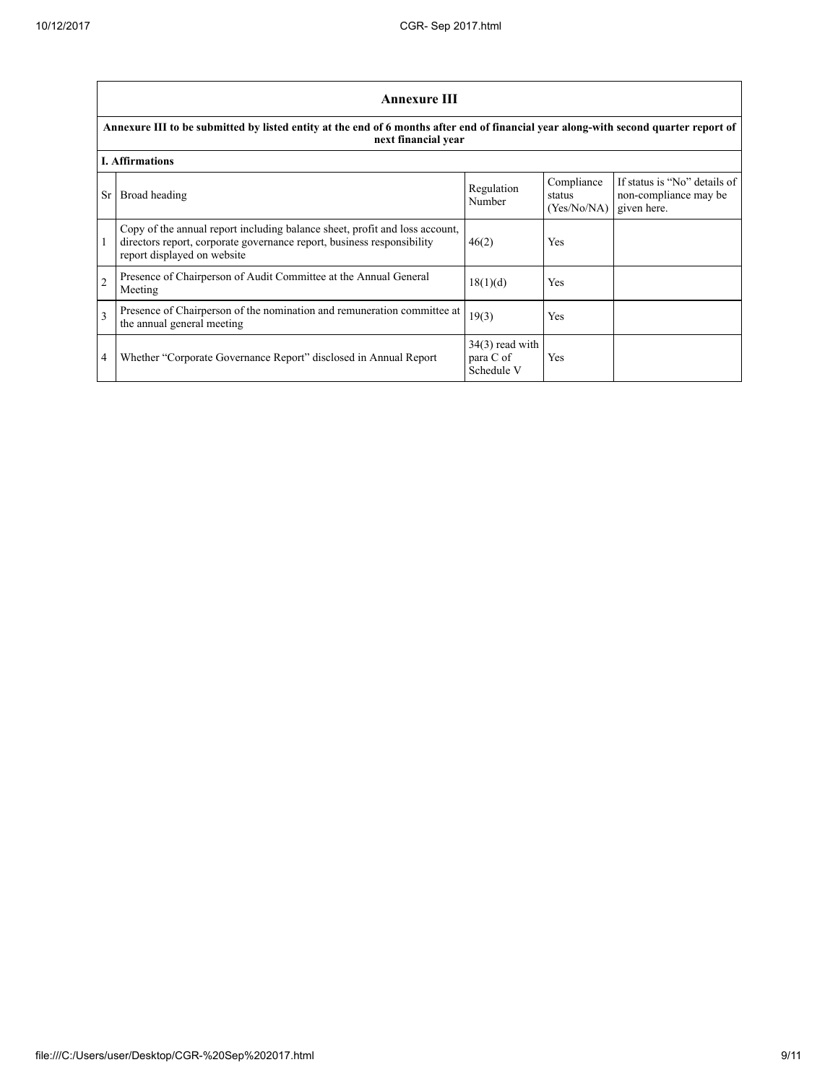|                | <b>Annexure III</b>                                                                                                                                                                  |                                              |                                     |                                                                      |  |  |  |  |
|----------------|--------------------------------------------------------------------------------------------------------------------------------------------------------------------------------------|----------------------------------------------|-------------------------------------|----------------------------------------------------------------------|--|--|--|--|
|                | Annexure III to be submitted by listed entity at the end of 6 months after end of financial year along-with second quarter report of<br>next financial year                          |                                              |                                     |                                                                      |  |  |  |  |
|                | <b>I.</b> Affirmations                                                                                                                                                               |                                              |                                     |                                                                      |  |  |  |  |
| Sr.            | Broad heading                                                                                                                                                                        | Regulation<br>Number                         | Compliance<br>status<br>(Yes/No/NA) | If status is "No" details of<br>non-compliance may be<br>given here. |  |  |  |  |
|                | Copy of the annual report including balance sheet, profit and loss account,<br>directors report, corporate governance report, business responsibility<br>report displayed on website | 46(2)                                        | Yes                                 |                                                                      |  |  |  |  |
| $\overline{2}$ | Presence of Chairperson of Audit Committee at the Annual General<br>Meeting                                                                                                          | 18(1)(d)                                     | Yes                                 |                                                                      |  |  |  |  |
| 3              | Presence of Chairperson of the nomination and remuneration committee at<br>the annual general meeting                                                                                | 19(3)                                        | Yes                                 |                                                                      |  |  |  |  |
| 4              | Whether "Corporate Governance Report" disclosed in Annual Report                                                                                                                     | $34(3)$ read with<br>para C of<br>Schedule V | Yes                                 |                                                                      |  |  |  |  |

 $\overline{\phantom{a}}$